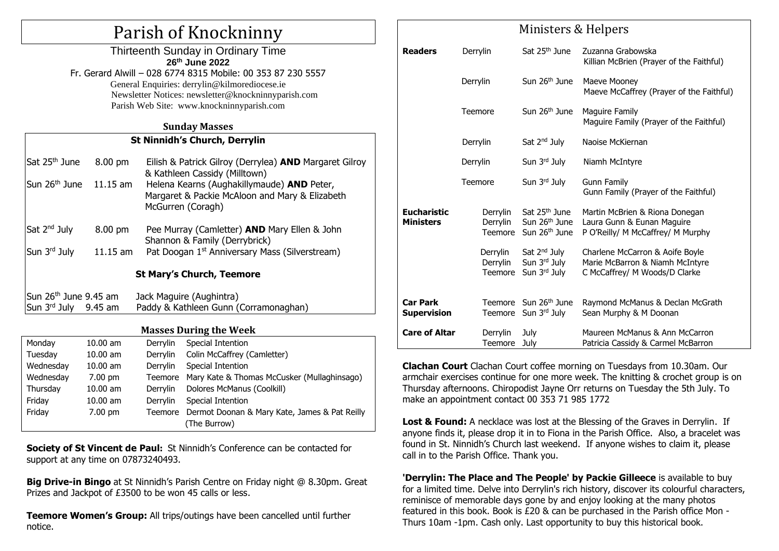# Parish of Knockninny

Thirteenth Sunday in Ordinary Time **26th June 2022** Fr. Gerard Alwill – 028 6774 8315 Mobile: 00 353 87 230 5557 General Enquiries: [derrylin@kilmorediocese.ie](mailto:derrylin@kilmorediocese.ie) Newsletter Notices: newsletter@knockninnyparish.com Parish Web Site: www.knockninnyparish.com

#### **Sunday Masses**

#### **St Ninnidh's Church, Derrylin**

Sat 25th June 8.00 pm Eilish & Patrick Gilroy (Derrylea) **AND** Margaret Gilroy & Kathleen Cassidy (Milltown) Sun 26th June 11.15 am Helena Kearns (Aughakillymaude) **AND** Peter, Margaret & Packie McAloon and Mary & Elizabeth McGurren (Coragh) Sat 2<sup>nd</sup> Julv 8.00 pm Pee Murray (Camletter) **AND** Mary Ellen & John Shannon & Family (Derrybrick) Sun 3rd July 11.15 am Pat Doogan  $1<sup>st</sup>$  Anniversary Mass (Silverstream) **St Mary's Church, Teemore**

#### Sun 26th June 9.45 am Jack Maguire (Aughintra) Sun 3rd July 9.45 am Paddy & Kathleen Gunn (Corramonaghan)

## **Masses During the Week**

| Monday    | $10.00$ am | Derrylin | Special Intention                             |  |
|-----------|------------|----------|-----------------------------------------------|--|
| Tuesday   | $10.00$ am | Derrylin | Colin McCaffrey (Camletter)                   |  |
| Wednesday | $10.00$ am | Derrylin | Special Intention                             |  |
| Wednesday | $7.00$ pm  | Teemore  | Mary Kate & Thomas McCusker (Mullaghinsago)   |  |
| Thursday  | $10.00$ am | Derrylin | Dolores McManus (Coolkill)                    |  |
| Friday    | $10.00$ am | Derrylin | Special Intention                             |  |
| Friday    | $7.00$ pm  | Teemore  | Dermot Doonan & Mary Kate, James & Pat Reilly |  |
|           |            |          | (The Burrow)                                  |  |

**Society of St Vincent de Paul:** St Ninnidh's Conference can be contacted for support at any time on 07873240493.

**Big Drive-in Bingo** at St Ninnidh's Parish Centre on Friday night @ 8.30pm. Great Prizes and Jackpot of £3500 to be won 45 calls or less.

**Teemore Women's Group:** All trips/outings have been cancelled until further notice.

|                                        | Ministers & Helpers             |                                                                                     |                                                                                                     |  |  |
|----------------------------------------|---------------------------------|-------------------------------------------------------------------------------------|-----------------------------------------------------------------------------------------------------|--|--|
| <b>Readers</b>                         | Derrylin                        | Sat 25 <sup>th</sup> June                                                           | Zuzanna Grabowska<br>Killian McBrien (Prayer of the Faithful)                                       |  |  |
|                                        | Derrylin                        | Sun 26 <sup>th</sup> June                                                           | Maeve Mooney<br>Maeve McCaffrey (Prayer of the Faithful)                                            |  |  |
|                                        | Teemore                         | Sun 26 <sup>th</sup> June                                                           | Maguire Family<br>Maguire Family (Prayer of the Faithful)                                           |  |  |
|                                        | Derrylin                        | Sat $2nd$ July                                                                      | Naoise McKiernan                                                                                    |  |  |
|                                        | Derrylin                        | Sun $3rd$ July                                                                      | Niamh McIntyre                                                                                      |  |  |
|                                        | Teemore                         | Sun 3rd July                                                                        | Gunn Family<br>Gunn Family (Prayer of the Faithful)                                                 |  |  |
| <b>Eucharistic</b><br><b>Ministers</b> | Derrylin<br>Derrylin<br>Teemore | Sat 25 <sup>th</sup> June<br>Sun 26 <sup>th</sup> June<br>Sun 26 <sup>th</sup> June | Martin McBrien & Riona Donegan<br>Laura Gunn & Eunan Maguire<br>P O'Reilly/ M McCaffrey/ M Murphy   |  |  |
|                                        | Derrylin<br>Derrylin<br>Teemore | Sat 2 <sup>nd</sup> July<br>Sun 3 <sup>rd</sup> July<br>Sun 3rd July                | Charlene McCarron & Aoife Boyle<br>Marie McBarron & Niamh McIntyre<br>C McCaffrey/ M Woods/D Clarke |  |  |
| <b>Car Park</b><br><b>Supervision</b>  | Teemore                         | Sun 26 <sup>th</sup> June<br>Teemore Sun 3rd July                                   | Raymond McManus & Declan McGrath<br>Sean Murphy & M Doonan                                          |  |  |
| <b>Care of Altar</b>                   | Derrylin<br>Teemore             | July<br>July                                                                        | Maureen McManus & Ann McCarron<br>Patricia Cassidy & Carmel McBarron                                |  |  |

**Clachan Court** Clachan Court coffee morning on Tuesdays from 10.30am. Our armchair exercises continue for one more week. The knitting & crochet group is on Thursday afternoons. Chiropodist Jayne Orr returns on Tuesday the 5th July. To make an appointment contact 00 353 71 985 1772

**Lost & Found:** A necklace was lost at the Blessing of the Graves in Derrylin. If anyone finds it, please drop it in to Fiona in the Parish Office. Also, a bracelet was found in St. Ninnidh's Church last weekend. If anyone wishes to claim it, please call in to the Parish Office. Thank you.

**'Derrylin: The Place and The People' by Packie Gilleece** is available to buy for a limited time. Delve into Derrylin's rich history, discover its colourful characters, reminisce of memorable days gone by and enjoy looking at the many photos featured in this book. Book is £20 & can be purchased in the Parish office Mon - Thurs 10am -1pm. Cash only. Last opportunity to buy this historical book.